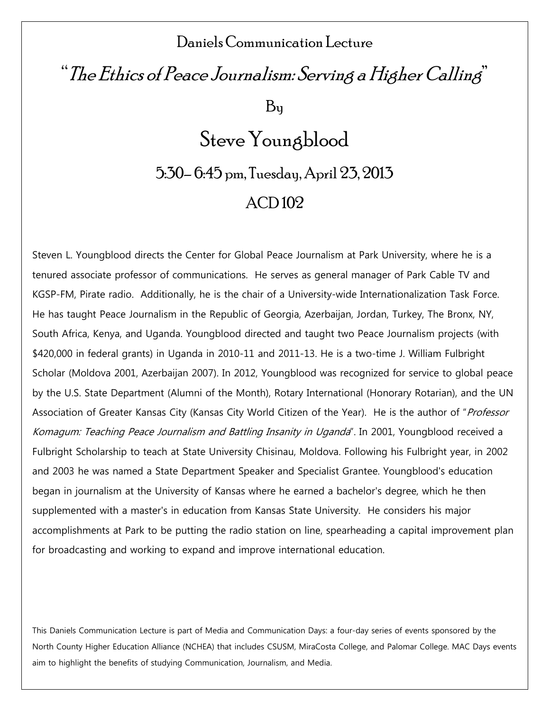### Daniels Communication Lecture

## "The Ethics of Peace Journalism: Serving a Higher Calling"

By

# Steve Youngblood 5:30– 6:45 pm, Tuesday, April 23, 2013 ACD 102

Steven L. Youngblood directs the Center for Global Peace Journalism at Park University, where he is a tenured associate professor of communications. He serves as general manager of Park Cable TV and KGSP-FM, Pirate radio. Additionally, he is the chair of a University-wide Internationalization Task Force. He has taught Peace Journalism in the Republic of Georgia, Azerbaijan, Jordan, Turkey, The Bronx, NY, South Africa, Kenya, and Uganda. Youngblood directed and taught two Peace Journalism projects (with \$420,000 in federal grants) in Uganda in 2010-11 and 2011-13. He is a two-time J. William Fulbright Scholar (Moldova 2001, Azerbaijan 2007). In 2012, Youngblood was recognized for service to global peace by the U.S. State Department (Alumni of the Month), Rotary International (Honorary Rotarian), and the UN Association of Greater Kansas City (Kansas City World Citizen of the Year). He is the author of "Professor Komagum: Teaching Peace Journalism and Battling Insanity in Uganda". In 2001, Youngblood received a Fulbright Scholarship to teach at State University Chisinau, Moldova. Following his Fulbright year, in 2002 and 2003 he was named a State Department Speaker and Specialist Grantee. Youngblood's education began in journalism at the University of Kansas where he earned a bachelor's degree, which he then supplemented with a master's in education from Kansas State University. He considers his major accomplishments at Park to be putting the radio station on line, spearheading a capital improvement plan for broadcasting and working to expand and improve international education.

This Daniels Communication Lecture is part of Media and Communication Days: a four-day series of events sponsored by the North County Higher Education Alliance (NCHEA) that includes CSUSM, MiraCosta College, and Palomar College. MAC Days events aim to highlight the benefits of studying Communication, Journalism, and Media.